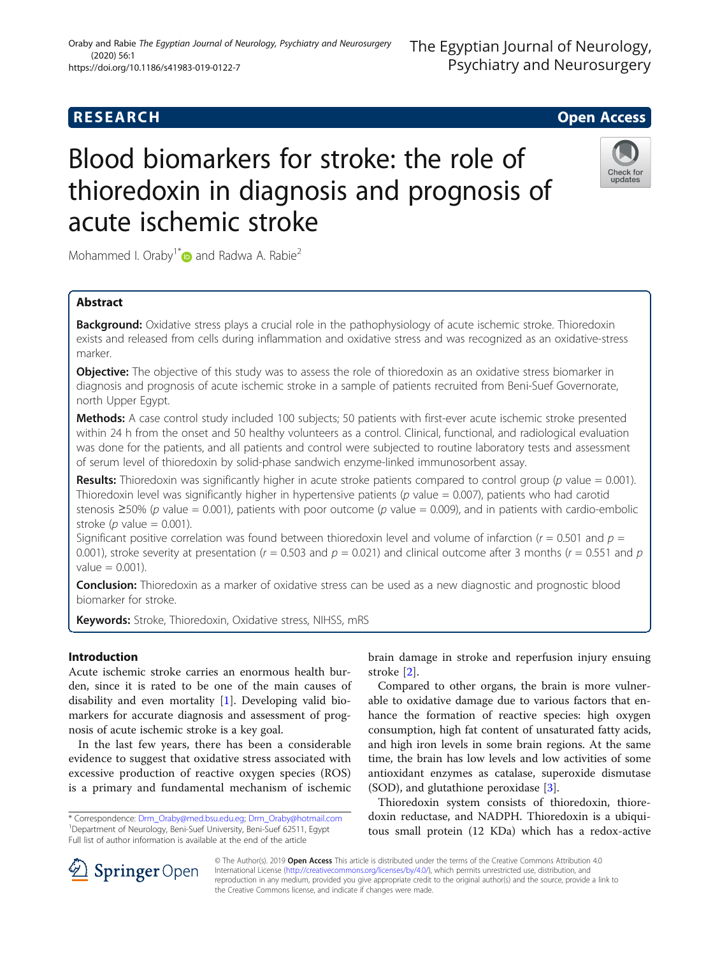### Oraby and Rabie The Egyptian Journal of Neurology, Psychiatry and Neurosurgery (2020) 56:1 https://doi.org/10.1186/s41983-019-0122-7

# **RESEARCH CHE Open Access**

# Blood biomarkers for stroke: the role of thioredoxin in diagnosis and prognosis of acute ischemic stroke



Mohammed I. Oraby<sup>1[\\*](http://orcid.org/0000-0003-2071-3190)</sup> $\bullet$  and Radwa A. Rabie<sup>2</sup>

# Abstract

**Background:** Oxidative stress plays a crucial role in the pathophysiology of acute ischemic stroke. Thioredoxin exists and released from cells during inflammation and oxidative stress and was recognized as an oxidative-stress marker.

**Objective:** The objective of this study was to assess the role of thioredoxin as an oxidative stress biomarker in diagnosis and prognosis of acute ischemic stroke in a sample of patients recruited from Beni-Suef Governorate, north Upper Egypt.

Methods: A case control study included 100 subjects; 50 patients with first-ever acute ischemic stroke presented within 24 h from the onset and 50 healthy volunteers as a control. Clinical, functional, and radiological evaluation was done for the patients, and all patients and control were subjected to routine laboratory tests and assessment of serum level of thioredoxin by solid-phase sandwich enzyme-linked immunosorbent assay.

**Results:** Thioredoxin was significantly higher in acute stroke patients compared to control group (p value = 0.001). Thioredoxin level was significantly higher in hypertensive patients ( $p$  value = 0.007), patients who had carotid stenosis  $\geq$ 50% (p value = 0.001), patients with poor outcome (p value = 0.009), and in patients with cardio-embolic stroke ( $p$  value = 0.001).

Significant positive correlation was found between thioredoxin level and volume of infarction ( $r = 0.501$  and  $p =$ 0.001), stroke severity at presentation ( $r = 0.503$  and  $p = 0.021$ ) and clinical outcome after 3 months ( $r = 0.551$  and  $p$  $value = 0.001$ ).

**Conclusion:** Thioredoxin as a marker of oxidative stress can be used as a new diagnostic and prognostic blood biomarker for stroke.

Keywords: Stroke, Thioredoxin, Oxidative stress, NIHSS, mRS

# Introduction

Acute ischemic stroke carries an enormous health burden, since it is rated to be one of the main causes of disability and even mortality [\[1](#page-7-0)]. Developing valid biomarkers for accurate diagnosis and assessment of prognosis of acute ischemic stroke is a key goal.

In the last few years, there has been a considerable evidence to suggest that oxidative stress associated with excessive production of reactive oxygen species (ROS) is a primary and fundamental mechanism of ischemic

brain damage in stroke and reperfusion injury ensuing stroke [[2\]](#page-7-0).

Compared to other organs, the brain is more vulnerable to oxidative damage due to various factors that enhance the formation of reactive species: high oxygen consumption, high fat content of unsaturated fatty acids, and high iron levels in some brain regions. At the same time, the brain has low levels and low activities of some antioxidant enzymes as catalase, superoxide dismutase (SOD), and glutathione peroxidase [[3\]](#page-7-0).

Thioredoxin system consists of thioredoxin, thioredoxin reductase, and NADPH. Thioredoxin is a ubiquitous small protein (12 KDa) which has a redox-active



© The Author(s). 2019 **Open Access** This article is distributed under the terms of the Creative Commons Attribution 4.0 International License ([http://creativecommons.org/licenses/by/4.0/\)](http://creativecommons.org/licenses/by/4.0/), which permits unrestricted use, distribution, and reproduction in any medium, provided you give appropriate credit to the original author(s) and the source, provide a link to the Creative Commons license, and indicate if changes were made.

<sup>\*</sup> Correspondence: [Drm\\_Oraby@med.bsu.edu.eg](mailto:Drm_Oraby@med.bsu.edu.eg); [Drm\\_Oraby@hotmail.com](mailto:Drm_Oraby@hotmail.com) <sup>1</sup> <sup>1</sup>Department of Neurology, Beni-Suef University, Beni-Suef 62511, Egypt Full list of author information is available at the end of the article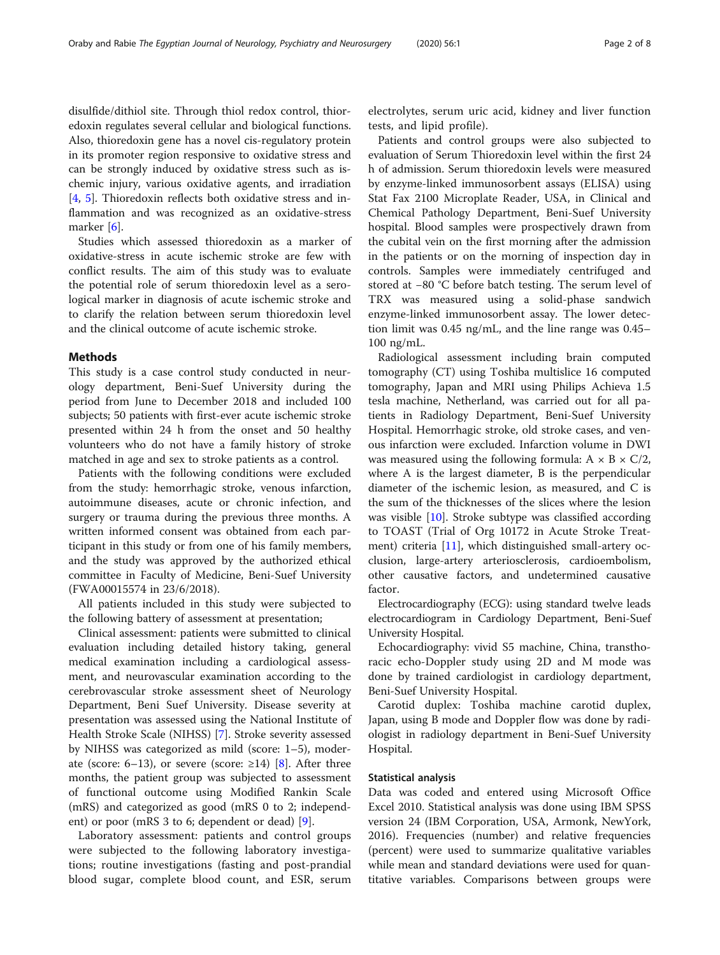disulfide/dithiol site. Through thiol redox control, thioredoxin regulates several cellular and biological functions. Also, thioredoxin gene has a novel cis-regulatory protein in its promoter region responsive to oxidative stress and can be strongly induced by oxidative stress such as ischemic injury, various oxidative agents, and irradiation [[4,](#page-7-0) [5](#page-7-0)]. Thioredoxin reflects both oxidative stress and inflammation and was recognized as an oxidative-stress marker [\[6\]](#page-7-0).

Studies which assessed thioredoxin as a marker of oxidative-stress in acute ischemic stroke are few with conflict results. The aim of this study was to evaluate the potential role of serum thioredoxin level as a serological marker in diagnosis of acute ischemic stroke and to clarify the relation between serum thioredoxin level and the clinical outcome of acute ischemic stroke.

#### Methods

This study is a case control study conducted in neurology department, Beni-Suef University during the period from June to December 2018 and included 100 subjects; 50 patients with first-ever acute ischemic stroke presented within 24 h from the onset and 50 healthy volunteers who do not have a family history of stroke matched in age and sex to stroke patients as a control.

Patients with the following conditions were excluded from the study: hemorrhagic stroke, venous infarction, autoimmune diseases, acute or chronic infection, and surgery or trauma during the previous three months. A written informed consent was obtained from each participant in this study or from one of his family members, and the study was approved by the authorized ethical committee in Faculty of Medicine, Beni-Suef University (FWA00015574 in 23/6/2018).

All patients included in this study were subjected to the following battery of assessment at presentation;

Clinical assessment: patients were submitted to clinical evaluation including detailed history taking, general medical examination including a cardiological assessment, and neurovascular examination according to the cerebrovascular stroke assessment sheet of Neurology Department, Beni Suef University. Disease severity at presentation was assessed using the National Institute of Health Stroke Scale (NIHSS) [[7\]](#page-7-0). Stroke severity assessed by NIHSS was categorized as mild (score: 1–5), moderate (score: 6–13), or severe (score:  $\geq$ 14) [[8](#page-7-0)]. After three months, the patient group was subjected to assessment of functional outcome using Modified Rankin Scale (mRS) and categorized as good (mRS 0 to 2; independent) or poor (mRS 3 to 6; dependent or dead) [[9\]](#page-7-0).

Laboratory assessment: patients and control groups were subjected to the following laboratory investigations; routine investigations (fasting and post-prandial blood sugar, complete blood count, and ESR, serum

electrolytes, serum uric acid, kidney and liver function tests, and lipid profile).

Patients and control groups were also subjected to evaluation of Serum Thioredoxin level within the first 24 h of admission. Serum thioredoxin levels were measured by enzyme-linked immunosorbent assays (ELISA) using Stat Fax 2100 Microplate Reader, USA, in Clinical and Chemical Pathology Department, Beni-Suef University hospital. Blood samples were prospectively drawn from the cubital vein on the first morning after the admission in the patients or on the morning of inspection day in controls. Samples were immediately centrifuged and stored at −80 °C before batch testing. The serum level of TRX was measured using a solid-phase sandwich enzyme-linked immunosorbent assay. The lower detection limit was 0.45 ng/mL, and the line range was 0.45– 100 ng/mL.

Radiological assessment including brain computed tomography (CT) using Toshiba multislice 16 computed tomography, Japan and MRI using Philips Achieva 1.5 tesla machine, Netherland, was carried out for all patients in Radiology Department, Beni-Suef University Hospital. Hemorrhagic stroke, old stroke cases, and venous infarction were excluded. Infarction volume in DWI was measured using the following formula:  $A \times B \times C/2$ , where A is the largest diameter, B is the perpendicular diameter of the ischemic lesion, as measured, and C is the sum of the thicknesses of the slices where the lesion was visible [[10\]](#page-7-0). Stroke subtype was classified according to TOAST (Trial of Org 10172 in Acute Stroke Treatment) criteria [\[11](#page-7-0)], which distinguished small-artery occlusion, large-artery arteriosclerosis, cardioembolism, other causative factors, and undetermined causative factor.

Electrocardiography (ECG): using standard twelve leads electrocardiogram in Cardiology Department, Beni-Suef University Hospital.

Echocardiography: vivid S5 machine, China, transthoracic echo-Doppler study using 2D and M mode was done by trained cardiologist in cardiology department, Beni-Suef University Hospital.

Carotid duplex: Toshiba machine carotid duplex, Japan, using B mode and Doppler flow was done by radiologist in radiology department in Beni-Suef University Hospital.

#### Statistical analysis

Data was coded and entered using Microsoft Office Excel 2010. Statistical analysis was done using IBM SPSS version 24 (IBM Corporation, USA, Armonk, NewYork, 2016). Frequencies (number) and relative frequencies (percent) were used to summarize qualitative variables while mean and standard deviations were used for quantitative variables. Comparisons between groups were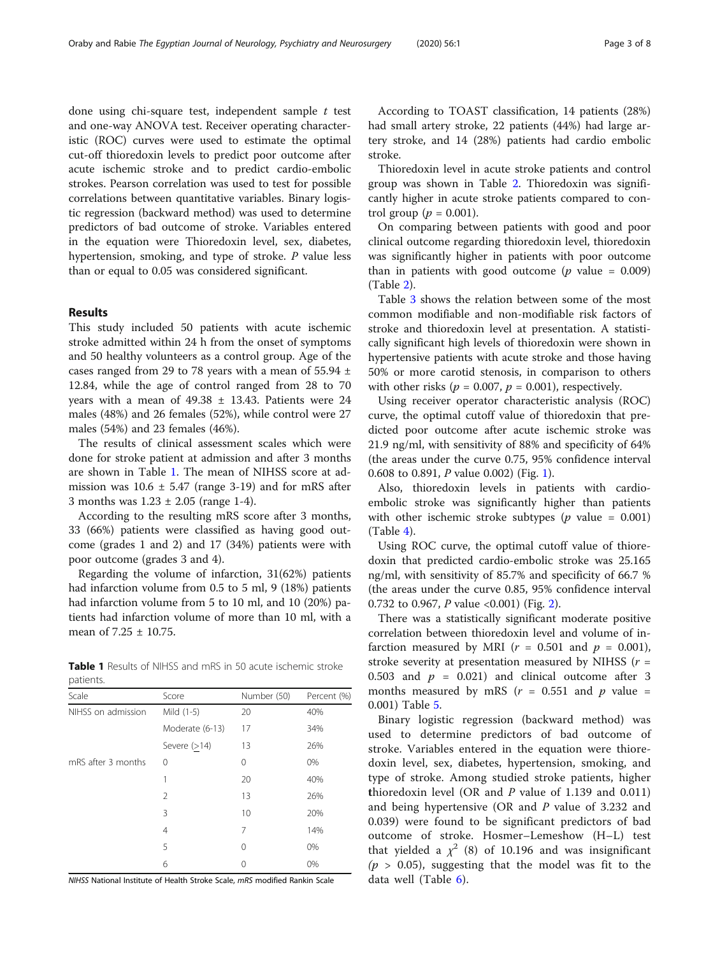done using chi-square test, independent sample  $t$  test and one-way ANOVA test. Receiver operating characteristic (ROC) curves were used to estimate the optimal cut-off thioredoxin levels to predict poor outcome after acute ischemic stroke and to predict cardio-embolic strokes. Pearson correlation was used to test for possible correlations between quantitative variables. Binary logistic regression (backward method) was used to determine predictors of bad outcome of stroke. Variables entered in the equation were Thioredoxin level, sex, diabetes, hypertension, smoking, and type of stroke. P value less than or equal to 0.05 was considered significant.

### Results

This study included 50 patients with acute ischemic stroke admitted within 24 h from the onset of symptoms and 50 healthy volunteers as a control group. Age of the cases ranged from 29 to 78 years with a mean of  $55.94 \pm$ 12.84, while the age of control ranged from 28 to 70 years with a mean of  $49.38 \pm 13.43$ . Patients were 24 males (48%) and 26 females (52%), while control were 27 males (54%) and 23 females (46%).

The results of clinical assessment scales which were done for stroke patient at admission and after 3 months are shown in Table 1. The mean of NIHSS score at admission was  $10.6 \pm 5.47$  (range 3-19) and for mRS after 3 months was  $1.23 \pm 2.05$  (range 1-4).

According to the resulting mRS score after 3 months, 33 (66%) patients were classified as having good outcome (grades 1 and 2) and 17 (34%) patients were with poor outcome (grades 3 and 4).

Regarding the volume of infarction, 31(62%) patients had infarction volume from 0.5 to 5 ml, 9 (18%) patients had infarction volume from 5 to 10 ml, and 10 (20%) patients had infarction volume of more than 10 ml, with a mean of 7.25 ± 10.75.

Table 1 Results of NIHSS and mRS in 50 acute ischemic stroke patients.

| Scale              | Score           | Number (50) | Percent (%) |  |
|--------------------|-----------------|-------------|-------------|--|
| NIHSS on admission | Mild (1-5)      | 20          | 40%         |  |
|                    | Moderate (6-13) | 17          | 34%         |  |
|                    | Severe $(>14)$  | 13          | 26%         |  |
| mRS after 3 months | 0               | 0           | 0%          |  |
|                    | 1               | 20          | 40%         |  |
|                    | $\mathfrak{D}$  | 13          | 26%         |  |
|                    | 3               | 10          | 20%         |  |
|                    | 4               | 7           | 14%         |  |
|                    | 5               | 0           | 0%          |  |
|                    | 6               | 0           | 0%          |  |

NIHSS National Institute of Health Stroke Scale, mRS modified Rankin Scale

According to TOAST classification, 14 patients (28%) had small artery stroke, 22 patients (44%) had large artery stroke, and 14 (28%) patients had cardio embolic stroke.

Thioredoxin level in acute stroke patients and control group was shown in Table [2.](#page-3-0) Thioredoxin was significantly higher in acute stroke patients compared to control group ( $p = 0.001$ ).

On comparing between patients with good and poor clinical outcome regarding thioredoxin level, thioredoxin was significantly higher in patients with poor outcome than in patients with good outcome ( $p$  value = 0.009) (Table [2\)](#page-3-0).

Table [3](#page-3-0) shows the relation between some of the most common modifiable and non-modifiable risk factors of stroke and thioredoxin level at presentation. A statistically significant high levels of thioredoxin were shown in hypertensive patients with acute stroke and those having 50% or more carotid stenosis, in comparison to others with other risks ( $p = 0.007$ ,  $p = 0.001$ ), respectively.

Using receiver operator characteristic analysis (ROC) curve, the optimal cutoff value of thioredoxin that predicted poor outcome after acute ischemic stroke was 21.9 ng/ml, with sensitivity of 88% and specificity of 64% (the areas under the curve 0.75, 95% confidence interval 0.608 to 0.891, P value 0.002) (Fig. [1\)](#page-4-0).

Also, thioredoxin levels in patients with cardioembolic stroke was significantly higher than patients with other ischemic stroke subtypes ( $p$  value = 0.001) (Table [4\)](#page-4-0).

Using ROC curve, the optimal cutoff value of thioredoxin that predicted cardio-embolic stroke was 25.165 ng/ml, with sensitivity of 85.7% and specificity of 66.7 % (the areas under the curve 0.85, 95% confidence interval 0.732 to 0.967, P value <0.001) (Fig. [2\)](#page-5-0).

There was a statistically significant moderate positive correlation between thioredoxin level and volume of infarction measured by MRI ( $r = 0.501$  and  $p = 0.001$ ), stroke severity at presentation measured by NIHSS ( $r =$ 0.503 and  $p = 0.021$  and clinical outcome after 3 months measured by mRS ( $r = 0.551$  and  $p$  value = 0.001) Table [5](#page-5-0).

Binary logistic regression (backward method) was used to determine predictors of bad outcome of stroke. Variables entered in the equation were thioredoxin level, sex, diabetes, hypertension, smoking, and type of stroke. Among studied stroke patients, higher thioredoxin level (OR and  $P$  value of 1.139 and 0.011) and being hypertensive (OR and P value of 3.232 and 0.039) were found to be significant predictors of bad outcome of stroke. Hosmer–Lemeshow (H–L) test that yielded a  $\chi^2$  (8) of 10.196 and was insignificant  $(p > 0.05)$ , suggesting that the model was fit to the data well (Table [6](#page-6-0)).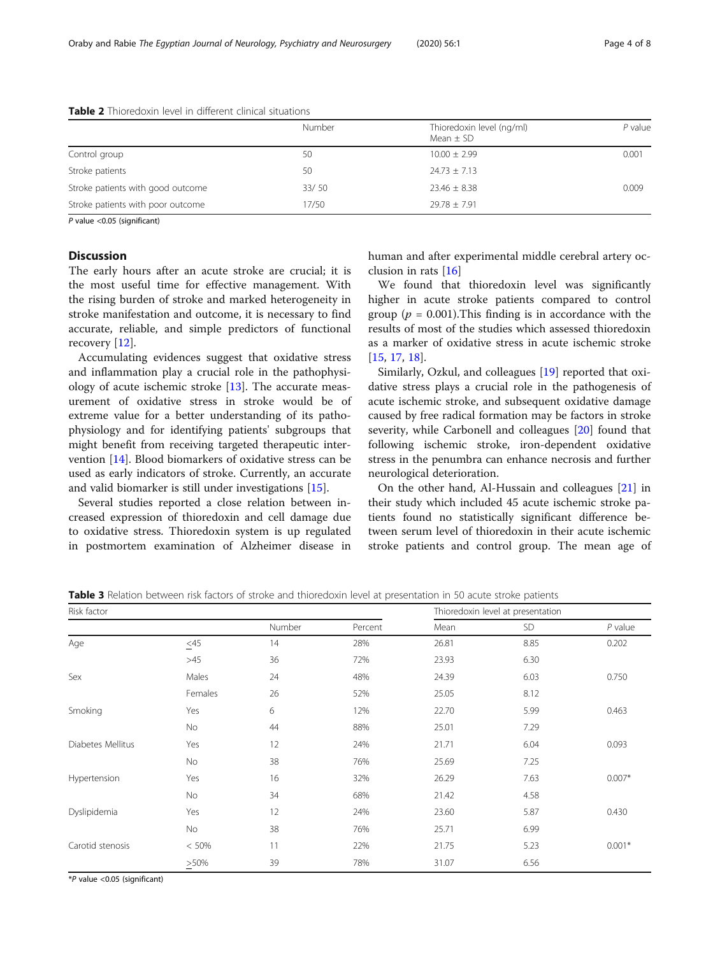#### <span id="page-3-0"></span>Table 2 Thioredoxin level in different clinical situations

|                                   | Number | Thioredoxin level (ng/ml)<br>Mean $\pm$ SD | P value |
|-----------------------------------|--------|--------------------------------------------|---------|
| Control group                     | 50     | $10.00 \pm 2.99$                           | 0.001   |
| Stroke patients                   | 50     | $24.73 \pm 7.13$                           |         |
| Stroke patients with good outcome | 33/50  | $23.46 \pm 8.38$                           | 0.009   |
| Stroke patients with poor outcome | 17/50  | $79.78 + 7.91$                             |         |

P value <0.05 (significant)

## Discussion

The early hours after an acute stroke are crucial; it is the most useful time for effective management. With the rising burden of stroke and marked heterogeneity in stroke manifestation and outcome, it is necessary to find accurate, reliable, and simple predictors of functional recovery [[12](#page-7-0)].

Accumulating evidences suggest that oxidative stress and inflammation play a crucial role in the pathophysiology of acute ischemic stroke [[13\]](#page-7-0). The accurate measurement of oxidative stress in stroke would be of extreme value for a better understanding of its pathophysiology and for identifying patients' subgroups that might benefit from receiving targeted therapeutic intervention [\[14](#page-7-0)]. Blood biomarkers of oxidative stress can be used as early indicators of stroke. Currently, an accurate and valid biomarker is still under investigations [\[15](#page-7-0)].

Several studies reported a close relation between increased expression of thioredoxin and cell damage due to oxidative stress. Thioredoxin system is up regulated in postmortem examination of Alzheimer disease in human and after experimental middle cerebral artery occlusion in rats [[16\]](#page-7-0)

We found that thioredoxin level was significantly higher in acute stroke patients compared to control group ( $p = 0.001$ ). This finding is in accordance with the results of most of the studies which assessed thioredoxin as a marker of oxidative stress in acute ischemic stroke [[15,](#page-7-0) [17,](#page-7-0) [18\]](#page-7-0).

Similarly, Ozkul, and colleagues [[19](#page-7-0)] reported that oxidative stress plays a crucial role in the pathogenesis of acute ischemic stroke, and subsequent oxidative damage caused by free radical formation may be factors in stroke severity, while Carbonell and colleagues [\[20\]](#page-7-0) found that following ischemic stroke, iron-dependent oxidative stress in the penumbra can enhance necrosis and further neurological deterioration.

On the other hand, Al-Hussain and colleagues [[21\]](#page-7-0) in their study which included 45 acute ischemic stroke patients found no statistically significant difference between serum level of thioredoxin in their acute ischemic stroke patients and control group. The mean age of

Table 3 Relation between risk factors of stroke and thioredoxin level at presentation in 50 acute stroke patients

| Risk factor       |          |        |         | Thioredoxin level at presentation |      |           |
|-------------------|----------|--------|---------|-----------------------------------|------|-----------|
|                   |          | Number | Percent | Mean                              | SD   | $P$ value |
| Age               | $\leq45$ | 14     | 28%     | 26.81                             | 8.85 | 0.202     |
|                   | >45      | 36     | 72%     | 23.93                             | 6.30 |           |
| Sex               | Males    | 24     | 48%     | 24.39                             | 6.03 | 0.750     |
|                   | Females  | 26     | 52%     | 25.05                             | 8.12 |           |
| Smoking           | Yes      | 6      | 12%     | 22.70                             | 5.99 | 0.463     |
|                   | No       | 44     | 88%     | 25.01                             | 7.29 |           |
| Diabetes Mellitus | Yes      | 12     | 24%     | 21.71                             | 6.04 | 0.093     |
|                   | No       | 38     | 76%     | 25.69                             | 7.25 |           |
| Hypertension      | Yes      | 16     | 32%     | 26.29                             | 7.63 | $0.007*$  |
|                   | No       | 34     | 68%     | 21.42                             | 4.58 |           |
| Dyslipidemia      | Yes      | 12     | 24%     | 23.60                             | 5.87 | 0.430     |
|                   | No       | 38     | 76%     | 25.71                             | 6.99 |           |
| Carotid stenosis  | < 50%    | 11     | 22%     | 21.75                             | 5.23 | $0.001*$  |
|                   | >50%     | 39     | 78%     | 31.07                             | 6.56 |           |

\*P value <0.05 (significant)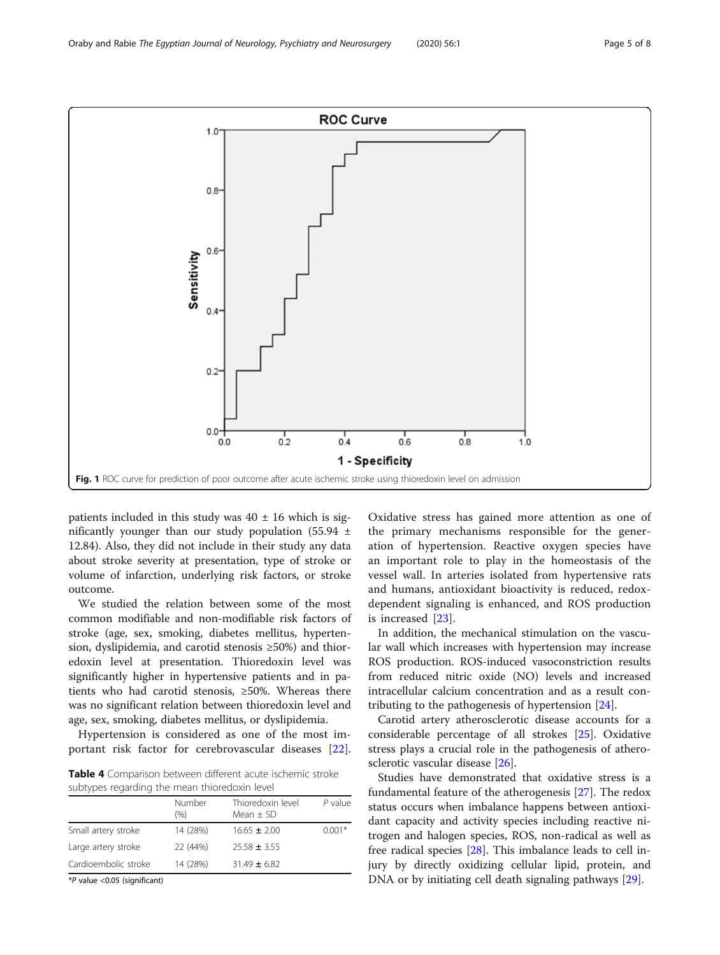<span id="page-4-0"></span>

patients included in this study was  $40 \pm 16$  which is significantly younger than our study population (55.94  $\pm$ 12.84). Also, they did not include in their study any data about stroke severity at presentation, type of stroke or volume of infarction, underlying risk factors, or stroke outcome.

We studied the relation between some of the most common modifiable and non-modifiable risk factors of stroke (age, sex, smoking, diabetes mellitus, hypertension, dyslipidemia, and carotid stenosis ≥50%) and thioredoxin level at presentation. Thioredoxin level was significantly higher in hypertensive patients and in patients who had carotid stenosis, ≥50%. Whereas there was no significant relation between thioredoxin level and age, sex, smoking, diabetes mellitus, or dyslipidemia.

Hypertension is considered as one of the most important risk factor for cerebrovascular diseases [\[22](#page-7-0)].

Table 4 Comparison between different acute ischemic stroke subtypes regarding the mean thioredoxin level

|                      | Number<br>(%) | Thioredoxin level<br>Mean $\pm$ SD | $P$ value |  |
|----------------------|---------------|------------------------------------|-----------|--|
| Small artery stroke  | 14 (28%)      | $16.65 \pm 2.00$                   | $0.001*$  |  |
| Large artery stroke  | 22 (44%)      | $25.58 \pm 3.55$                   |           |  |
| Cardioembolic stroke | 14 (28%)      | $31.49 \pm 6.82$                   |           |  |
|                      |               |                                    |           |  |

\*P value <0.05 (significant)

Oxidative stress has gained more attention as one of the primary mechanisms responsible for the generation of hypertension. Reactive oxygen species have an important role to play in the homeostasis of the vessel wall. In arteries isolated from hypertensive rats and humans, antioxidant bioactivity is reduced, redoxdependent signaling is enhanced, and ROS production is increased [\[23](#page-7-0)].

In addition, the mechanical stimulation on the vascular wall which increases with hypertension may increase ROS production. ROS-induced vasoconstriction results from reduced nitric oxide (NO) levels and increased intracellular calcium concentration and as a result contributing to the pathogenesis of hypertension [\[24](#page-7-0)].

Carotid artery atherosclerotic disease accounts for a considerable percentage of all strokes [\[25](#page-7-0)]. Oxidative stress plays a crucial role in the pathogenesis of atherosclerotic vascular disease [\[26](#page-7-0)].

Studies have demonstrated that oxidative stress is a fundamental feature of the atherogenesis [\[27\]](#page-7-0). The redox status occurs when imbalance happens between antioxidant capacity and activity species including reactive nitrogen and halogen species, ROS, non-radical as well as free radical species [\[28](#page-7-0)]. This imbalance leads to cell injury by directly oxidizing cellular lipid, protein, and DNA or by initiating cell death signaling pathways [[29\]](#page-7-0).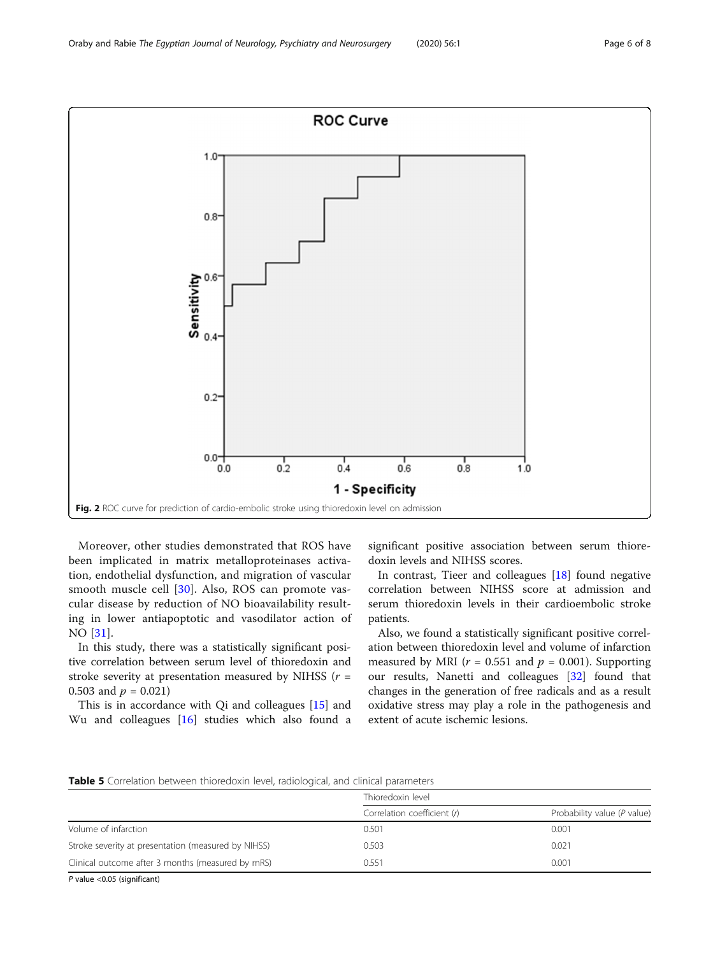<span id="page-5-0"></span>

Moreover, other studies demonstrated that ROS have been implicated in matrix metalloproteinases activation, endothelial dysfunction, and migration of vascular smooth muscle cell [\[30](#page-7-0)]. Also, ROS can promote vascular disease by reduction of NO bioavailability resulting in lower antiapoptotic and vasodilator action of NO [\[31](#page-7-0)].

In this study, there was a statistically significant positive correlation between serum level of thioredoxin and stroke severity at presentation measured by NIHSS ( $r =$ 0.503 and  $p = 0.021$ )

This is in accordance with Qi and colleagues [\[15\]](#page-7-0) and Wu and colleagues [\[16\]](#page-7-0) studies which also found a significant positive association between serum thioredoxin levels and NIHSS scores.

In contrast, Tieer and colleagues [[18](#page-7-0)] found negative correlation between NIHSS score at admission and serum thioredoxin levels in their cardioembolic stroke patients.

Also, we found a statistically significant positive correlation between thioredoxin level and volume of infarction measured by MRI ( $r = 0.551$  and  $p = 0.001$ ). Supporting our results, Nanetti and colleagues [\[32\]](#page-7-0) found that changes in the generation of free radicals and as a result oxidative stress may play a role in the pathogenesis and extent of acute ischemic lesions.

Table 5 Correlation between thioredoxin level, radiological, and clinical parameters

|                                                     | Thioredoxin level           |                             |  |  |  |
|-----------------------------------------------------|-----------------------------|-----------------------------|--|--|--|
|                                                     | Correlation coefficient (r) | Probability value (P value) |  |  |  |
| Volume of infarction                                | 0.501                       | 0.001                       |  |  |  |
| Stroke severity at presentation (measured by NIHSS) | 0.503                       | 0.021                       |  |  |  |
| Clinical outcome after 3 months (measured by mRS)   | 0.551                       | 0.001                       |  |  |  |

P value <0.05 (significant)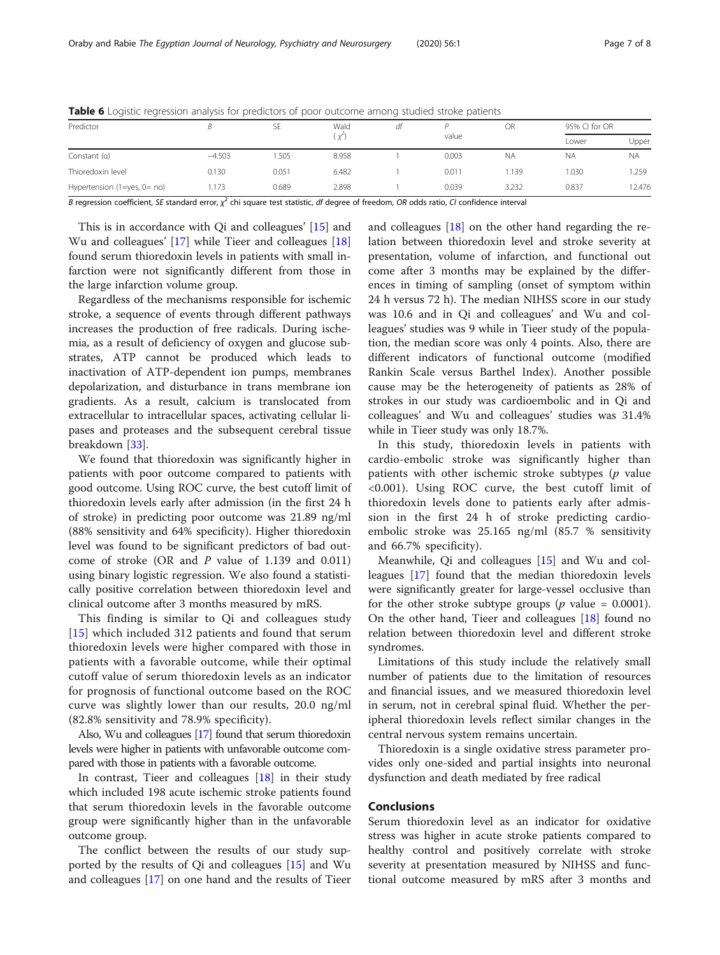| Predictor                        |          | ЪE    | Wald<br>Χ | dt | value | OR        | 95% CI for OR |           |
|----------------------------------|----------|-------|-----------|----|-------|-----------|---------------|-----------|
|                                  |          |       |           |    |       |           | Lower         | Upper     |
| Constant $(a)$                   | $-4.503$ | .505  | 8.958     |    | 0.003 | <b>NA</b> | <b>NA</b>     | <b>NA</b> |
| Thioredoxin level                | 0.130    | 0.051 | 6.482     |    | 0.011 | i.139     | 1.030         | .259      |
| Hypertension $(1 = yes, 0 = no)$ | 173      | 0.689 | 2.898     |    | 0.039 | 3.232     | 0.837         | 2.476     |

<span id="page-6-0"></span>Table 6 Logistic regression analysis for predictors of poor outcome among studied stroke patients

B regression coefficient, SE standard error,  $\chi^2$  chi square test statistic, df degree of freedom, OR odds ratio, CI confidence interval

This is in accordance with Qi and colleagues' [\[15](#page-7-0)] and Wu and colleagues' [\[17\]](#page-7-0) while Tieer and colleagues [[18](#page-7-0)] found serum thioredoxin levels in patients with small infarction were not significantly different from those in the large infarction volume group.

Regardless of the mechanisms responsible for ischemic stroke, a sequence of events through different pathways increases the production of free radicals. During ischemia, as a result of deficiency of oxygen and glucose substrates, ATP cannot be produced which leads to inactivation of ATP-dependent ion pumps, membranes depolarization, and disturbance in trans membrane ion gradients. As a result, calcium is translocated from extracellular to intracellular spaces, activating cellular lipases and proteases and the subsequent cerebral tissue breakdown [[33\]](#page-7-0).

We found that thioredoxin was significantly higher in patients with poor outcome compared to patients with good outcome. Using ROC curve, the best cutoff limit of thioredoxin levels early after admission (in the first 24 h of stroke) in predicting poor outcome was 21.89 ng/ml (88% sensitivity and 64% specificity). Higher thioredoxin level was found to be significant predictors of bad outcome of stroke (OR and P value of 1.139 and 0.011) using binary logistic regression. We also found a statistically positive correlation between thioredoxin level and clinical outcome after 3 months measured by mRS.

This finding is similar to Qi and colleagues study [[15](#page-7-0)] which included 312 patients and found that serum thioredoxin levels were higher compared with those in patients with a favorable outcome, while their optimal cutoff value of serum thioredoxin levels as an indicator for prognosis of functional outcome based on the ROC curve was slightly lower than our results, 20.0 ng/ml (82.8% sensitivity and 78.9% specificity).

Also, Wu and colleagues [[17\]](#page-7-0) found that serum thioredoxin levels were higher in patients with unfavorable outcome compared with those in patients with a favorable outcome.

In contrast, Tieer and colleagues [\[18\]](#page-7-0) in their study which included 198 acute ischemic stroke patients found that serum thioredoxin levels in the favorable outcome group were significantly higher than in the unfavorable outcome group.

The conflict between the results of our study supported by the results of Qi and colleagues [[15\]](#page-7-0) and Wu and colleagues [[17\]](#page-7-0) on one hand and the results of Tieer

and colleagues [[18\]](#page-7-0) on the other hand regarding the relation between thioredoxin level and stroke severity at presentation, volume of infarction, and functional out come after 3 months may be explained by the differences in timing of sampling (onset of symptom within 24 h versus 72 h). The median NIHSS score in our study was 10.6 and in Qi and colleagues' and Wu and colleagues' studies was 9 while in Tieer study of the population, the median score was only 4 points. Also, there are different indicators of functional outcome (modified Rankin Scale versus Barthel Index). Another possible cause may be the heterogeneity of patients as 28% of strokes in our study was cardioembolic and in Qi and colleagues' and Wu and colleagues' studies was 31.4% while in Tieer study was only 18.7%.

In this study, thioredoxin levels in patients with cardio-embolic stroke was significantly higher than patients with other ischemic stroke subtypes  $(p)$  value <0.001). Using ROC curve, the best cutoff limit of thioredoxin levels done to patients early after admission in the first 24 h of stroke predicting cardioembolic stroke was 25.165 ng/ml (85.7 % sensitivity and 66.7% specificity).

Meanwhile, Qi and colleagues [\[15](#page-7-0)] and Wu and colleagues [[17](#page-7-0)] found that the median thioredoxin levels were significantly greater for large-vessel occlusive than for the other stroke subtype groups ( $p$  value = 0.0001). On the other hand, Tieer and colleagues [\[18](#page-7-0)] found no relation between thioredoxin level and different stroke syndromes.

Limitations of this study include the relatively small number of patients due to the limitation of resources and financial issues, and we measured thioredoxin level in serum, not in cerebral spinal fluid. Whether the peripheral thioredoxin levels reflect similar changes in the central nervous system remains uncertain.

Thioredoxin is a single oxidative stress parameter provides only one-sided and partial insights into neuronal dysfunction and death mediated by free radical

#### Conclusions

Serum thioredoxin level as an indicator for oxidative stress was higher in acute stroke patients compared to healthy control and positively correlate with stroke severity at presentation measured by NIHSS and functional outcome measured by mRS after 3 months and